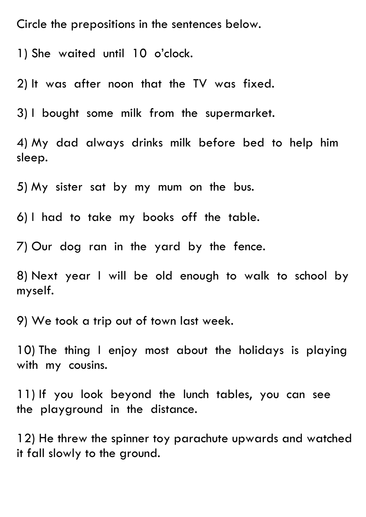Circle the prepositions in the sentences below.

1) She waited until 10 o'clock.

2) It was after noon that the TV was fixed.

3) I bought some milk from the supermarket.

4) My dad always drinks milk before bed to help him sleep.

5) My sister sat by my mum on the bus.

6) I had to take my books off the table.

7) Our dog ran in the yard by the fence.

8) Next year I will be old enough to walk to school by myself.

9) We took a trip out of town last week.

10) The thing I enjoy most about the holidays is playing with my cousins.

11) If you look beyond the lunch tables, you can see the playground in the distance.

12) He threw the spinner toy parachute upwards and watched it fall slowly to the ground.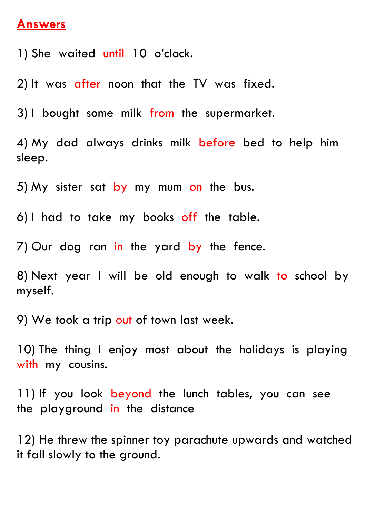## **Answers**

1) She waited until 10 o'clock.

2) It was after noon that the TV was fixed.

3) I bought some milk from the supermarket.

4) My dad always drinks milk before bed to help him sleep.

5) My sister sat by my mum on the bus.

6) I had to take my books off the table.

7) Our dog ran in the yard by the fence.

8) Next year I will be old enough to walk to school by myself.

9) We took a trip out of town last week.

10) The thing I enjoy most about the holidays is playing with my cousins.

11) If you look beyond the lunch tables, you can see the playground in the distance

12) He threw the spinner toy parachute upwards and watched it fall slowly to the ground.